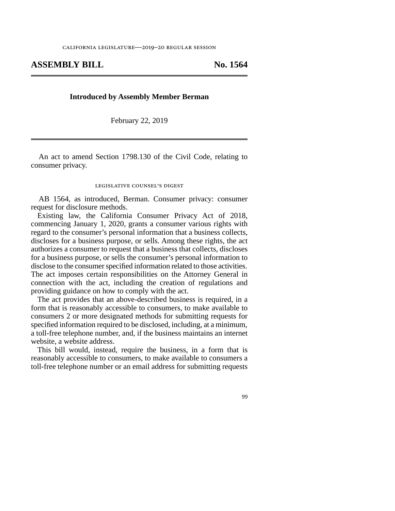## **ASSEMBLY BILL No. 1564**

## **Introduced by Assembly Member Berman**

February 22, 2019

An act to amend Section 1798.130 of the Civil Code, relating to consumer privacy.

## legislative counsel's digest

AB 1564, as introduced, Berman. Consumer privacy: consumer request for disclosure methods.

Existing law, the California Consumer Privacy Act of 2018, commencing January 1, 2020, grants a consumer various rights with regard to the consumer's personal information that a business collects, discloses for a business purpose, or sells. Among these rights, the act authorizes a consumer to request that a business that collects, discloses for a business purpose, or sells the consumer's personal information to disclose to the consumer specified information related to those activities. The act imposes certain responsibilities on the Attorney General in connection with the act, including the creation of regulations and providing guidance on how to comply with the act.

The act provides that an above-described business is required, in a form that is reasonably accessible to consumers, to make available to consumers 2 or more designated methods for submitting requests for specified information required to be disclosed, including, at a minimum, a toll-free telephone number, and, if the business maintains an internet website, a website address.

This bill would, instead, require the business, in a form that is reasonably accessible to consumers, to make available to consumers a toll-free telephone number or an email address for submitting requests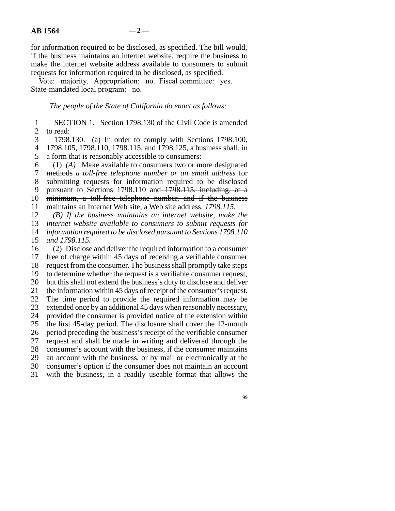for information required to be disclosed, as specified. The bill would, if the business maintains an internet website, require the business to make the internet website address available to consumers to submit requests for information required to be disclosed, as specified.

Vote: majority. Appropriation: no. Fiscal committee: yes. State-mandated local program: no.

*The people of the State of California do enact as follows:* 

1 SECTION 1. Section 1798.130 of the Civil Code is amended 2 to read:

3 1798.130. (a) In order to comply with Sections 1798.100, line 4 1798.105, 1798.110, 1798.115, and 1798.125, a business shall, in 5 a form that is reasonably accessible to consumers:

 line 6 (1) *(A)* Make available to consumers two or more designated line 7 methods *a toll-free telephone number or an email address* for 8 submitting requests for information required to be disclosed 9 pursuant to Sections 1798.110 and 1798.115, including, at a 10 minimum, a toll-free telephone number, and if the business

line 11 maintains an Internet Web site, a Web site address. *1798.115.*

12 (B) If the business maintains an internet website, make the

13 *internet website available to consumers to submit requests for* 

14 *information required to be disclosed pursuant to Sections 1798.110* 15 *and 1798.115.* 

16 (2) Disclose and deliver the required information to a consumer 17 free of charge within 45 days of receiving a verifiable consumer 18 request from the consumer. The business shall promptly take steps 19 to determine whether the request is a verifiable consumer request, 20 but this shall not extend the business's duty to disclose and deliver 21 the information within 45 days of receipt of the consumer's request. 22 The time period to provide the required information may be 23 extended once by an additional 45 days when reasonably necessary, 24 provided the consumer is provided notice of the extension within 25 the first 45-day period. The disclosure shall cover the 12-month 26 period preceding the business's receipt of the verifiable consumer 27 request and shall be made in writing and delivered through the 28 consumer's account with the business, if the consumer maintains 29 an account with the business, or by mail or electronically at the 30 consumer's option if the consumer does not maintain an account 31 with the business, in a readily useable format that allows the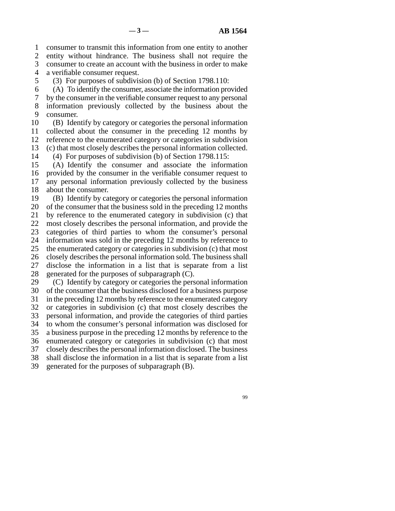line 1 consumer to transmit this information from one entity to another 2 entity without hindrance. The business shall not require the consumer to create an account with the business in order to make consumer to create an account with the business in order to make 4 a verifiable consumer request.

5 (3) For purposes of subdivision (b) of Section 1798.110:

6 (A) To identify the consumer, associate the information provided

 line 7 by the consumer in the verifiable consumer request to any personal 8 information previously collected by the business about the 9 consumer.

10 (B) Identify by category or categories the personal information 11 collected about the consumer in the preceding 12 months by 12 reference to the enumerated category or categories in subdivision 13 (c) that most closely describes the personal information collected.

14 (4) For purposes of subdivision (b) of Section 1798.115:

15 (A) Identify the consumer and associate the information 16 provided by the consumer in the verifiable consumer request to 17 any personal information previously collected by the business 18 about the consumer.

19 (B) Identify by category or categories the personal information 20 of the consumer that the business sold in the preceding 12 months 21 by reference to the enumerated category in subdivision (c) that 22 most closely describes the personal information, and provide the 23 categories of third parties to whom the consumer's personal 24 information was sold in the preceding 12 months by reference to  $25$  the enumerated category or categories in subdivision (c) that most the enumerated category or categories in subdivision (c) that most 26 closely describes the personal information sold. The business shall 27 disclose the information in a list that is separate from a list 28 generated for the purposes of subparagraph  $(C)$ . 29  $\langle C \rangle$  Identify by category or categories the personal information 30 of the consumer that the business disclosed for a business purpose

31 in the preceding 12 months by reference to the enumerated category

32 or categories in subdivision (c) that most closely describes the

33 personal information, and provide the categories of third parties 34 to whom the consumer's personal information was disclosed for

35 a business purpose in the preceding 12 months by reference to the

36 enumerated category or categories in subdivision (c) that most

37 closely describes the personal information disclosed. The business

38 shall disclose the information in a list that is separate from a list

39 generated for the purposes of subparagraph (B).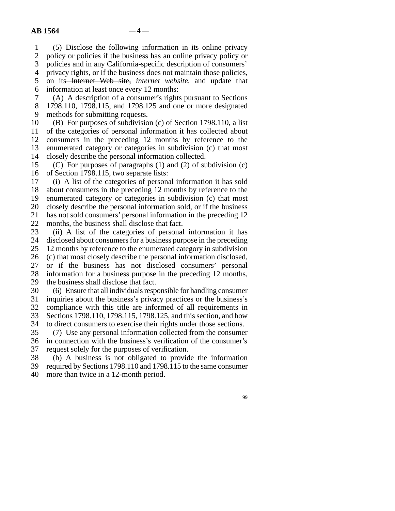line 1 (5) Disclose the following information in its online privacy

2 policy or policies if the business has an online privacy policy or policies and in any California-specific description of consumers' policies and in any California-specific description of consumers'

4 privacy rights, or if the business does not maintain those policies,

5 on its Internet Web site, *internet website*, and update that 6 information at least once every 12 months:

 line 7 (A) A description of a consumer's rights pursuant to Sections 8 1798.110, 1798.115, and 1798.125 and one or more designated 9 methods for submitting requests.

10 (B) For purposes of subdivision (c) of Section 1798.110, a list 11 of the categories of personal information it has collected about 12 consumers in the preceding 12 months by reference to the 13 enumerated category or categories in subdivision (c) that most 14 closely describe the personal information collected.

15 (C) For purposes of paragraphs (1) and (2) of subdivision (c) 16 of Section 1798.115, two separate lists:

17 (i) A list of the categories of personal information it has sold 18 about consumers in the preceding 12 months by reference to the 19 enumerated category or categories in subdivision (c) that most 20 closely describe the personal information sold, or if the business 21 has not sold consumers' personal information in the preceding 12 22 months, the business shall disclose that fact.

23 (ii) A list of the categories of personal information it has 24 disclosed about consumers for a business purpose in the preceding<br>25 12 months by reference to the enumerated category in subdivision 12 months by reference to the enumerated category in subdivision 26 (c) that most closely describe the personal information disclosed, 27 or if the business has not disclosed consumers' personal 28 information for a business purpose in the preceding 12 months, 29 the business shall disclose that fact.

30 (6) Ensure that all individuals responsible for handling consumer

31 inquiries about the business's privacy practices or the business's

32 compliance with this title are informed of all requirements in

33 Sections 1798.110, 1798.115, 1798.125, and this section, and how

34 to direct consumers to exercise their rights under those sections.

35 (7) Use any personal information collected from the consumer 36 in connection with the business's verification of the consumer's 37 request solely for the purposes of verification.

38 (b) A business is not obligated to provide the information

line 39 required by Sections 1798.110 and 1798.115 to the same consumer

40 more than twice in a 12-month period.